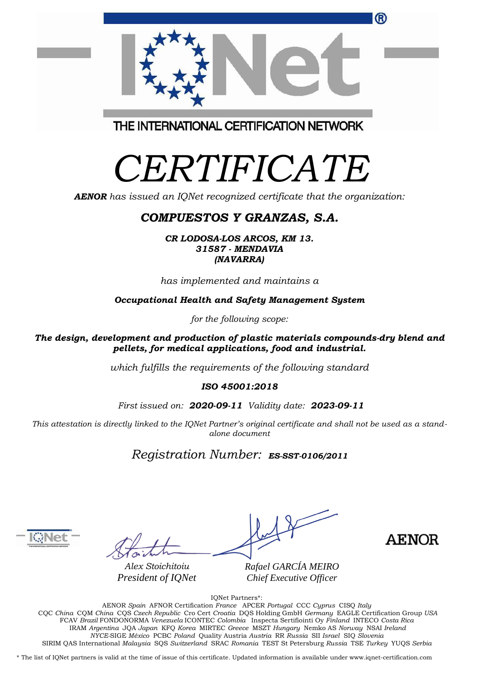| ®                                       |  |
|-----------------------------------------|--|
| THE INTERNATIONAL CERTIFICATION NETWORK |  |

## *CERTIFICATE*

*AENOR has issued an IQNet recognized certificate that the organization:*

#### *COMPUESTOS Y GRANZAS, S.A.*

*CR LODOSA-LOS ARCOS, KM 13. 31587 - MENDAVIA (NAVARRA)*

*has implemented and maintains a*

*Occupational Health and Safety Management System*

*for the following scope:*

*The design, development and production of plastic materials compounds-dry blend and pellets, for medical applications, food and industrial.*

*which fulfills the requirements of the following standard*

#### *ISO 45001:2018*

*First issued on: 2020-09-11 Validity date: 2023-09-11*

This attestation is directly linked to the IQNet Partner's original certificate and shall not be used as a stand*alone document*

*Registration Number: ES-SST-0106/2011*



*Alex Stoichitoiu President of IQNet* *Rafael GARCÍA MEIRO Chief Executive Officer*

**AENOR** 

IQNet Partners\*:

AENOR *Spain* AFNOR Certification *France* APCER *Portugal* CCC *Cyprus* CISQ *Italy* CQC *China* CQM *China* CQS *Czech Republic* Cro Cert *Croatia* DQS Holding GmbH *Germany* EAGLE Certification Group *USA* FCAV *Brazil* FONDONORMA *Venezuela* ICONTEC *Colombia* Inspecta Sertifiointi Oy *Finland* INTECO *Costa Rica* IRAM *Argentina* JQA *Japan* KFQ *Korea* MIRTEC *Greece* MSZT *Hungary* Nemko AS *Norway* NSAI *Ireland NYCE-*SIGE *México* PCBC *Poland* Quality Austria *Austria* RR *Russia* SII *Israel* SIQ *Slovenia* SIRIM QAS International *Malaysia* SQS *Switzerland* SRAC *Romania* TEST St Petersburg *Russia* TSE *Turkey* YUQS *Serbia*

\* The list of IQNet partners is valid at the time of issue of this certificate. Updated information is available under www.iqnet-certification.com